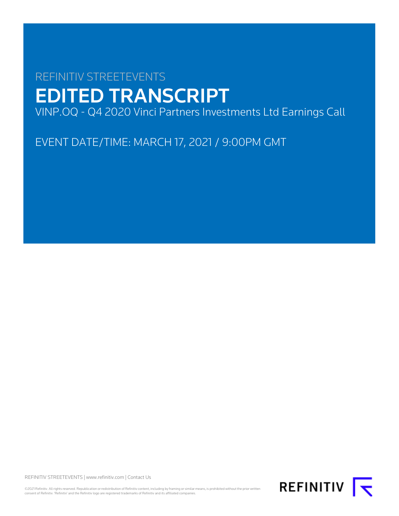# REFINITIV STREETEVENTS EDITED TRANSCRIPT VINP.OQ - Q4 2020 Vinci Partners Investments Ltd Earnings Call

EVENT DATE/TIME: MARCH 17, 2021 / 9:00PM GMT

REFINITIV STREETEVENTS | [www.refinitiv.com](https://www.refinitiv.com/) | [Contact Us](https://www.refinitiv.com/en/contact-us)

©2021 Refinitiv. All rights reserved. Republication or redistribution of Refinitiv content, including by framing or similar means, is prohibited without the prior written consent of Refinitiv. 'Refinitiv' and the Refinitiv logo are registered trademarks of Refinitiv and its affiliated companies.

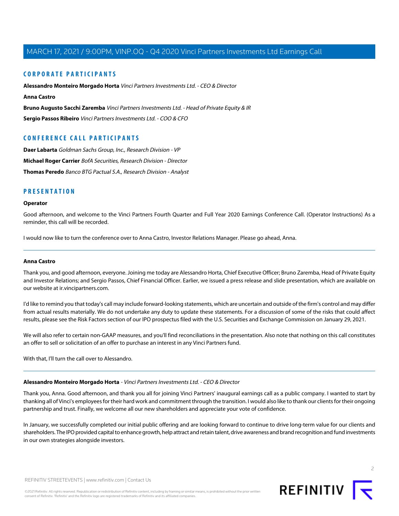# **CORPORATE PARTICIPANTS**

**[Alessandro Monteiro Morgado Horta](#page-1-0)** Vinci Partners Investments Ltd. - CEO & Director **[Anna Castro](#page-1-1) [Bruno Augusto Sacchi Zaremba](#page-3-0)** Vinci Partners Investments Ltd. - Head of Private Equity & IR

**[Sergio Passos Ribeiro](#page-4-0)** Vinci Partners Investments Ltd. - COO & CFO

# **CONFERENCE CALL PARTICIPANTS**

**[Daer Labarta](#page-7-0)** Goldman Sachs Group, Inc., Research Division - VP **[Michael Roger Carrier](#page-6-0)** BofA Securities, Research Division - Director **[Thomas Peredo](#page-8-0)** Banco BTG Pactual S.A., Research Division - Analyst

# **PRESENTATION**

# **Operator**

Good afternoon, and welcome to the Vinci Partners Fourth Quarter and Full Year 2020 Earnings Conference Call. (Operator Instructions) As a reminder, this call will be recorded.

<span id="page-1-1"></span>I would now like to turn the conference over to Anna Castro, Investor Relations Manager. Please go ahead, Anna.

#### **Anna Castro**

Thank you, and good afternoon, everyone. Joining me today are Alessandro Horta, Chief Executive Officer; Bruno Zaremba, Head of Private Equity and Investor Relations; and Sergio Passos, Chief Financial Officer. Earlier, we issued a press release and slide presentation, which are available on our website at ir.vincipartners.com.

I'd like to remind you that today's call may include forward-looking statements, which are uncertain and outside of the firm's control and may differ from actual results materially. We do not undertake any duty to update these statements. For a discussion of some of the risks that could affect results, please see the Risk Factors section of our IPO prospectus filed with the U.S. Securities and Exchange Commission on January 29, 2021.

<span id="page-1-0"></span>We will also refer to certain non-GAAP measures, and you'll find reconciliations in the presentation. Also note that nothing on this call constitutes an offer to sell or solicitation of an offer to purchase an interest in any Vinci Partners fund.

With that, I'll turn the call over to Alessandro.

#### **Alessandro Monteiro Morgado Horta** - Vinci Partners Investments Ltd. - CEO & Director

Thank you, Anna. Good afternoon, and thank you all for joining Vinci Partners' inaugural earnings call as a public company. I wanted to start by thanking all of Vinci's employees for their hard work and commitment through the transition. I would also like to thank our clients for their ongoing partnership and trust. Finally, we welcome all our new shareholders and appreciate your vote of confidence.

In January, we successfully completed our initial public offering and are looking forward to continue to drive long-term value for our clients and shareholders. The IPO provided capital to enhance growth, help attract and retain talent, drive awareness and brand recognition and fund investments in our own strategies alongside investors.



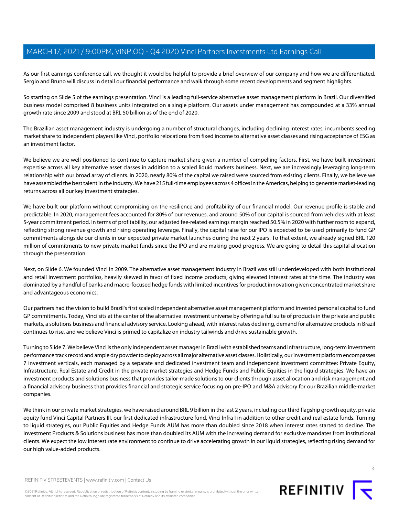As our first earnings conference call, we thought it would be helpful to provide a brief overview of our company and how we are differentiated. Sergio and Bruno will discuss in detail our financial performance and walk through some recent developments and segment highlights.

So starting on Slide 5 of the earnings presentation. Vinci is a leading full-service alternative asset management platform in Brazil. Our diversified business model comprised 8 business units integrated on a single platform. Our assets under management has compounded at a 33% annual growth rate since 2009 and stood at BRL 50 billion as of the end of 2020.

The Brazilian asset management industry is undergoing a number of structural changes, including declining interest rates, incumbents seeding market share to independent players like Vinci, portfolio relocations from fixed income to alternative asset classes and rising acceptance of ESG as an investment factor.

We believe we are well positioned to continue to capture market share given a number of compelling factors. First, we have built investment expertise across all key alternative asset classes in addition to a scaled liquid markets business. Next, we are increasingly leveraging long-term relationship with our broad array of clients. In 2020, nearly 80% of the capital we raised were sourced from existing clients. Finally, we believe we have assembled the best talent in the industry. We have 215 full-time employees across 4 offices in the Americas, helping to generate market-leading returns across all our key investment strategies.

We have built our platform without compromising on the resilience and profitability of our financial model. Our revenue profile is stable and predictable. In 2020, management fees accounted for 80% of our revenues, and around 50% of our capital is sourced from vehicles with at least 5-year commitment period. In terms of profitability, our adjusted fee-related earnings margin reached 50.5% in 2020 with further room to expand, reflecting strong revenue growth and rising operating leverage. Finally, the capital raise for our IPO is expected to be used primarily to fund GP commitments alongside our clients in our expected private market launches during the next 2 years. To that extent, we already signed BRL 120 million of commitments to new private market funds since the IPO and are making good progress. We are going to detail this capital allocation through the presentation.

Next, on Slide 6. We founded Vinci in 2009. The alternative asset management industry in Brazil was still underdeveloped with both institutional and retail investment portfolios, heavily skewed in favor of fixed income products, giving elevated interest rates at the time. The industry was dominated by a handful of banks and macro-focused hedge funds with limited incentives for product innovation given concentrated market share and advantageous economics.

Our partners had the vision to build Brazil's first scaled independent alternative asset management platform and invested personal capital to fund GP commitments. Today, Vinci sits at the center of the alternative investment universe by offering a full suite of products in the private and public markets, a solutions business and financial advisory service. Looking ahead, with interest rates declining, demand for alternative products in Brazil continues to rise, and we believe Vinci is primed to capitalize on industry tailwinds and drive sustainable growth.

Turning to Slide 7. We believe Vinci is the only independent asset manager in Brazil with established teams and infrastructure, long-term investment performance track record and ample dry powder to deploy across all major alternative asset classes. Holistically, our investment platform encompasses 7 investment verticals, each managed by a separate and dedicated investment team and independent investment committee: Private Equity, Infrastructure, Real Estate and Credit in the private market strategies and Hedge Funds and Public Equities in the liquid strategies. We have an investment products and solutions business that provides tailor-made solutions to our clients through asset allocation and risk management and a financial advisory business that provides financial and strategic service focusing on pre-IPO and M&A advisory for our Brazilian middle-market companies.

We think in our private market strategies, we have raised around BRL 9 billion in the last 2 years, including our third flagship growth equity, private equity fund Vinci Capital Partners III, our first dedicated infrastructure fund, Vinci Infra I in addition to other credit and real estate funds. Turning to liquid strategies, our Public Equities and Hedge Funds AUM has more than doubled since 2018 when interest rates started to decline. The Investment Products & Solutions business has more than doubled its AUM with the increasing demand for exclusive mandates from institutional clients. We expect the low interest rate environment to continue to drive accelerating growth in our liquid strategies, reflecting rising demand for our high value-added products.

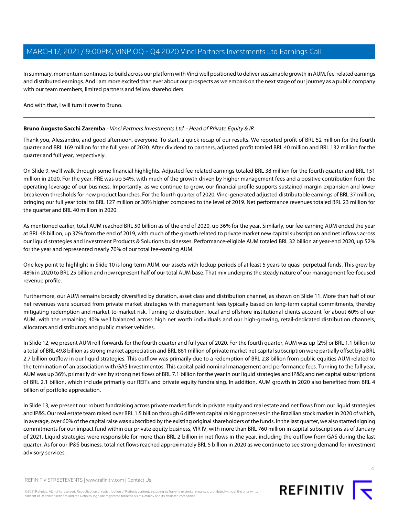In summary, momentum continues to build across our platform with Vinci well positioned to deliver sustainable growth in AUM, fee-related earnings and distributed earnings. And I am more excited than ever about our prospects as we embark on the next stage of our journey as a public company with our team members, limited partners and fellow shareholders.

<span id="page-3-0"></span>And with that, I will turn it over to Bruno.

# **Bruno Augusto Sacchi Zaremba** - Vinci Partners Investments Ltd. - Head of Private Equity & IR

Thank you, Alessandro, and good afternoon, everyone. To start, a quick recap of our results. We reported profit of BRL 52 million for the fourth quarter and BRL 169 million for the full year of 2020. After dividend to partners, adjusted profit totaled BRL 40 million and BRL 132 million for the quarter and full year, respectively.

On Slide 9, we'll walk through some financial highlights. Adjusted fee-related earnings totaled BRL 38 million for the fourth quarter and BRL 151 million in 2020. For the year, FRE was up 54%, with much of the growth driven by higher management fees and a positive contribution from the operating leverage of our business. Importantly, as we continue to grow, our financial profile supports sustained margin expansion and lower breakeven thresholds for new product launches. For the fourth quarter of 2020, Vinci generated adjusted distributable earnings of BRL 37 million, bringing our full year total to BRL 127 million or 30% higher compared to the level of 2019. Net performance revenues totaled BRL 23 million for the quarter and BRL 40 million in 2020.

As mentioned earlier, total AUM reached BRL 50 billion as of the end of 2020, up 36% for the year. Similarly, our fee-earning AUM ended the year at BRL 48 billion, up 37% from the end of 2019, with much of the growth related to private market new capital subscription and net inflows across our liquid strategies and Investment Products & Solutions businesses. Performance-eligible AUM totaled BRL 32 billion at year-end 2020, up 52% for the year and represented nearly 70% of our total fee-earning AUM.

One key point to highlight in Slide 10 is long-term AUM, our assets with lockup periods of at least 5 years to quasi-perpetual funds. This grew by 48% in 2020 to BRL 25 billion and now represent half of our total AUM base. That mix underpins the steady nature of our management fee-focused revenue profile.

Furthermore, our AUM remains broadly diversified by duration, asset class and distribution channel, as shown on Slide 11. More than half of our net revenues were sourced from private market strategies with management fees typically based on long-term capital commitments, thereby mitigating redemption and market-to-market risk. Turning to distribution, local and offshore institutional clients account for about 60% of our AUM, with the remaining 40% well balanced across high net worth individuals and our high-growing, retail-dedicated distribution channels, allocators and distributors and public market vehicles.

In Slide 12, we present AUM roll-forwards for the fourth quarter and full year of 2020. For the fourth quarter, AUM was up [2%] or BRL 1.1 billion to a total of BRL 49.8 billion as strong market appreciation and BRL 861 million of private market net capital subscription were partially offset by a BRL 2.7 billion outflow in our liquid strategies. This outflow was primarily due to a redemption of BRL 2.8 billion from public equities AUM related to the termination of an association with GAS Investimentos. This capital paid nominal management and performance fees. Turning to the full year, AUM was up 36%, primarily driven by strong net flows of BRL 7.1 billion for the year in our liquid strategies and IP&S; and net capital subscriptions of BRL 2.1 billion, which include primarily our REITs and private equity fundraising. In addition, AUM growth in 2020 also benefited from BRL 4 billion of portfolio appreciation.

In Slide 13, we present our robust fundraising across private market funds in private equity and real estate and net flows from our liquid strategies and IP&S. Our real estate team raised over BRL 1.5 billion through 6 different capital raising processes in the Brazilian stock market in 2020 of which, in average, over 60% of the capital raise was subscribed by the existing original shareholders of the funds. In the last quarter, we also started signing commitments for our impact fund within our private equity business, VIR IV, with more than BRL 760 million in capital subscriptions as of January of 2021. Liquid strategies were responsible for more than BRL 2 billion in net flows in the year, including the outflow from GAS during the last quarter. As for our IP&S business, total net flows reached approximately BRL 5 billion in 2020 as we continue to see strong demand for investment advisory services.

REFINITIV STREETEVENTS | [www.refinitiv.com](https://www.refinitiv.com/) | [Contact Us](https://www.refinitiv.com/en/contact-us)

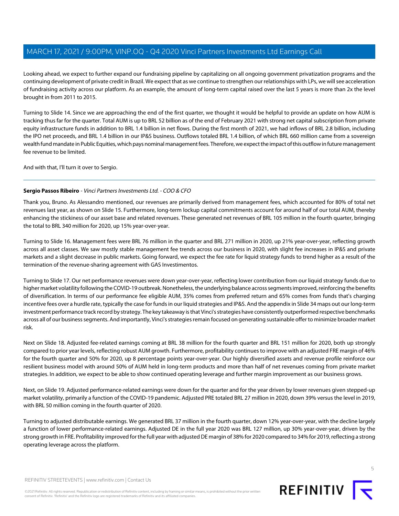Looking ahead, we expect to further expand our fundraising pipeline by capitalizing on all ongoing government privatization programs and the continuing development of private credit in Brazil. We expect that as we continue to strengthen our relationships with LPs, we will see acceleration of fundraising activity across our platform. As an example, the amount of long-term capital raised over the last 5 years is more than 2x the level brought in from 2011 to 2015.

Turning to Slide 14. Since we are approaching the end of the first quarter, we thought it would be helpful to provide an update on how AUM is tracking thus far for the quarter. Total AUM is up to BRL 52 billion as of the end of February 2021 with strong net capital subscription from private equity infrastructure funds in addition to BRL 1.4 billion in net flows. During the first month of 2021, we had inflows of BRL 2.8 billion, including the IPO net proceeds, and BRL 1.4 billion in our IP&S business. Outflows totaled BRL 1.4 billion, of which BRL 660 million came from a sovereign wealth fund mandate in Public Equities, which pays nominal management fees. Therefore, we expect the impact of this outflow in future management fee revenue to be limited.

<span id="page-4-0"></span>And with that, I'll turn it over to Sergio.

# **Sergio Passos Ribeiro** - Vinci Partners Investments Ltd. - COO & CFO

Thank you, Bruno. As Alessandro mentioned, our revenues are primarily derived from management fees, which accounted for 80% of total net revenues last year, as shown on Slide 15. Furthermore, long-term lockup capital commitments account for around half of our total AUM, thereby enhancing the stickiness of our asset base and related revenues. These generated net revenues of BRL 105 million in the fourth quarter, bringing the total to BRL 340 million for 2020, up 15% year-over-year.

Turning to Slide 16. Management fees were BRL 76 million in the quarter and BRL 271 million in 2020, up 21% year-over-year, reflecting growth across all asset classes. We saw mostly stable management fee trends across our business in 2020, with slight fee increases in IP&S and private markets and a slight decrease in public markets. Going forward, we expect the fee rate for liquid strategy funds to trend higher as a result of the termination of the revenue-sharing agreement with GAS Investimentos.

Turning to Slide 17. Our net performance revenues were down year-over-year, reflecting lower contribution from our liquid strategy funds due to higher market volatility following the COVID-19 outbreak. Nonetheless, the underlying balance across segments improved, reinforcing the benefits of diversification. In terms of our performance fee eligible AUM, 35% comes from preferred return and 65% comes from funds that's charging incentive fees over a hurdle rate, typically the case for funds in our liquid strategies and IP&S. And the appendix in Slide 34 maps out our long-term investment performance track record by strategy. The key takeaway is that Vinci's strategies have consistently outperformed respective benchmarks across all of our business segments. And importantly, Vinci's strategies remain focused on generating sustainable offer to minimize broader market risk.

Next on Slide 18. Adjusted fee-related earnings coming at BRL 38 million for the fourth quarter and BRL 151 million for 2020, both up strongly compared to prior year levels, reflecting robust AUM growth. Furthermore, profitability continues to improve with an adjusted FRE margin of 46% for the fourth quarter and 50% for 2020, up 8 percentage points year-over-year. Our highly diversified assets and revenue profile reinforce our resilient business model with around 50% of AUM held in long-term products and more than half of net revenues coming from private market strategies. In addition, we expect to be able to show continued operating leverage and further margin improvement as our business grows.

Next, on Slide 19. Adjusted performance-related earnings were down for the quarter and for the year driven by lower revenues given stepped-up market volatility, primarily a function of the COVID-19 pandemic. Adjusted PRE totaled BRL 27 million in 2020, down 39% versus the level in 2019, with BRL 50 million coming in the fourth quarter of 2020.

Turning to adjusted distributable earnings. We generated BRL 37 million in the fourth quarter, down 12% year-over-year, with the decline largely a function of lower performance-related earnings. Adjusted DE in the full year 2020 was BRL 127 million, up 30% year-over-year, driven by the strong growth in FRE. Profitability improved for the full year with adjusted DE margin of 38% for 2020 compared to 34% for 2019, reflecting a strong operating leverage across the platform.



©2021 Refinitiv. All rights reserved. Republication or redistribution of Refinitiv content, including by framing or similar means, is prohibited without the prior written consent of Refinitiv. 'Refinitiv' and the Refinitiv logo are registered trademarks of Refinitiv and its affiliated companies.



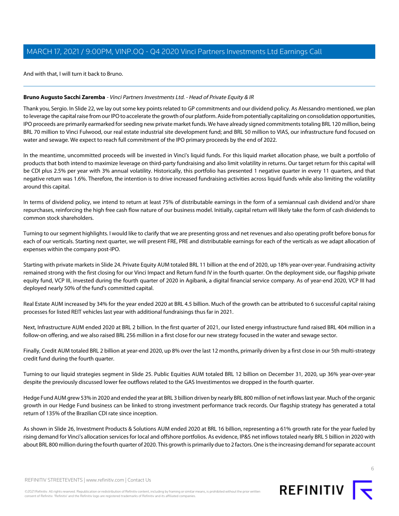And with that, I will turn it back to Bruno.

# **Bruno Augusto Sacchi Zaremba** - Vinci Partners Investments Ltd. - Head of Private Equity & IR

Thank you, Sergio. In Slide 22, we lay out some key points related to GP commitments and our dividend policy. As Alessandro mentioned, we plan to leverage the capital raise from our IPO to accelerate the growth of our platform. Aside from potentially capitalizing on consolidation opportunities, IPO proceeds are primarily earmarked for seeding new private market funds. We have already signed commitments totaling BRL 120 million, being BRL 70 million to Vinci Fulwood, our real estate industrial site development fund; and BRL 50 million to VIAS, our infrastructure fund focused on water and sewage. We expect to reach full commitment of the IPO primary proceeds by the end of 2022.

In the meantime, uncommitted proceeds will be invested in Vinci's liquid funds. For this liquid market allocation phase, we built a portfolio of products that both intend to maximize leverage on third-party fundraising and also limit volatility in returns. Our target return for this capital will be CDI plus 2.5% per year with 3% annual volatility. Historically, this portfolio has presented 1 negative quarter in every 11 quarters, and that negative return was 1.6%. Therefore, the intention is to drive increased fundraising activities across liquid funds while also limiting the volatility around this capital.

In terms of dividend policy, we intend to return at least 75% of distributable earnings in the form of a semiannual cash dividend and/or share repurchases, reinforcing the high free cash flow nature of our business model. Initially, capital return will likely take the form of cash dividends to common stock shareholders.

Turning to our segment highlights. I would like to clarify that we are presenting gross and net revenues and also operating profit before bonus for each of our verticals. Starting next quarter, we will present FRE, PRE and distributable earnings for each of the verticals as we adapt allocation of expenses within the company post-IPO.

Starting with private markets in Slide 24. Private Equity AUM totaled BRL 11 billion at the end of 2020, up 18% year-over-year. Fundraising activity remained strong with the first closing for our Vinci Impact and Return fund IV in the fourth quarter. On the deployment side, our flagship private equity fund, VCP III, invested during the fourth quarter of 2020 in Agibank, a digital financial service company. As of year-end 2020, VCP III had deployed nearly 50% of the fund's committed capital.

Real Estate AUM increased by 34% for the year ended 2020 at BRL 4.5 billion. Much of the growth can be attributed to 6 successful capital raising processes for listed REIT vehicles last year with additional fundraisings thus far in 2021.

Next, Infrastructure AUM ended 2020 at BRL 2 billion. In the first quarter of 2021, our listed energy infrastructure fund raised BRL 404 million in a follow-on offering, and we also raised BRL 256 million in a first close for our new strategy focused in the water and sewage sector.

Finally, Credit AUM totaled BRL 2 billion at year-end 2020, up 8% over the last 12 months, primarily driven by a first close in our 5th multi-strategy credit fund during the fourth quarter.

Turning to our liquid strategies segment in Slide 25. Public Equities AUM totaled BRL 12 billion on December 31, 2020, up 36% year-over-year despite the previously discussed lower fee outflows related to the GAS Investimentos we dropped in the fourth quarter.

Hedge Fund AUM grew 53% in 2020 and ended the year at BRL 3 billion driven by nearly BRL 800 million of net inflows last year. Much of the organic growth in our Hedge Fund business can be linked to strong investment performance track records. Our flagship strategy has generated a total return of 135% of the Brazilian CDI rate since inception.

As shown in Slide 26, Investment Products & Solutions AUM ended 2020 at BRL 16 billion, representing a 61% growth rate for the year fueled by rising demand for Vinci's allocation services for local and offshore portfolios. As evidence, IP&S net inflows totaled nearly BRL 5 billion in 2020 with about BRL 800 million during the fourth quarter of 2020. This growth is primarily due to 2 factors. One is the increasing demand for separate account

6

REFINITIV STREETEVENTS | [www.refinitiv.com](https://www.refinitiv.com/) | [Contact Us](https://www.refinitiv.com/en/contact-us)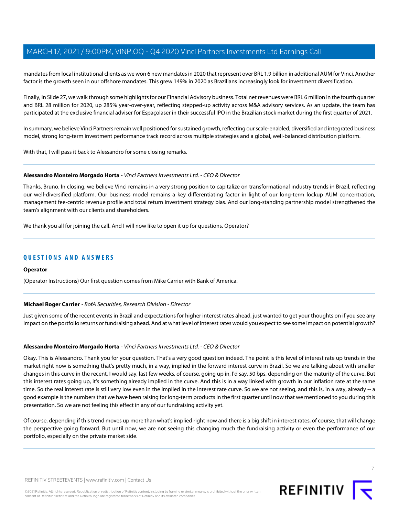mandates from local institutional clients as we won 6 new mandates in 2020 that represent over BRL 1.9 billion in additional AUM for Vinci. Another factor is the growth seen in our offshore mandates. This grew 149% in 2020 as Brazilians increasingly look for investment diversification.

Finally, in Slide 27, we walk through some highlights for our Financial Advisory business. Total net revenues were BRL 6 million in the fourth quarter and BRL 28 million for 2020, up 285% year-over-year, reflecting stepped-up activity across M&A advisory services. As an update, the team has participated at the exclusive financial adviser for Espaçolaser in their successful IPO in the Brazilian stock market during the first quarter of 2021.

In summary, we believe Vinci Partners remain well positioned for sustained growth, reflecting our scale-enabled, diversified and integrated business model, strong long-term investment performance track record across multiple strategies and a global, well-balanced distribution platform.

With that, I will pass it back to Alessandro for some closing remarks.

#### **Alessandro Monteiro Morgado Horta** - Vinci Partners Investments Ltd. - CEO & Director

Thanks, Bruno. In closing, we believe Vinci remains in a very strong position to capitalize on transformational industry trends in Brazil, reflecting our well-diversified platform. Our business model remains a key differentiating factor in light of our long-term lockup AUM concentration, management fee-centric revenue profile and total return investment strategy bias. And our long-standing partnership model strengthened the team's alignment with our clients and shareholders.

We thank you all for joining the call. And I will now like to open it up for questions. Operator?

# **QUESTIONS AND ANSWERS**

#### <span id="page-6-0"></span>**Operator**

(Operator Instructions) Our first question comes from Mike Carrier with Bank of America.

# **Michael Roger Carrier** - BofA Securities, Research Division - Director

Just given some of the recent events in Brazil and expectations for higher interest rates ahead, just wanted to get your thoughts on if you see any impact on the portfolio returns or fundraising ahead. And at what level of interest rates would you expect to see some impact on potential growth?

#### **Alessandro Monteiro Morgado Horta** - Vinci Partners Investments Ltd. - CEO & Director

Okay. This is Alessandro. Thank you for your question. That's a very good question indeed. The point is this level of interest rate up trends in the market right now is something that's pretty much, in a way, implied in the forward interest curve in Brazil. So we are talking about with smaller changes in this curve in the recent, I would say, last few weeks, of course, going up in, I'd say, 50 bps, depending on the maturity of the curve. But this interest rates going up, it's something already implied in the curve. And this is in a way linked with growth in our inflation rate at the same time. So the real interest rate is still very low even in the implied in the interest rate curve. So we are not seeing, and this is, in a way, already -- a good example is the numbers that we have been raising for long-term products in the first quarter until now that we mentioned to you during this presentation. So we are not feeling this effect in any of our fundraising activity yet.

Of course, depending if this trend moves up more than what's implied right now and there is a big shift in interest rates, of course, that will change the perspective going forward. But until now, we are not seeing this changing much the fundraising activity or even the performance of our portfolio, especially on the private market side.



7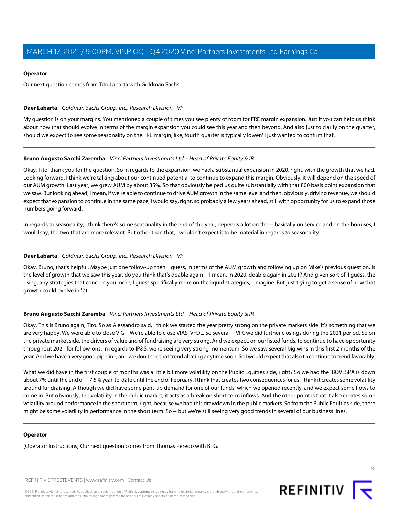## **Operator**

Our next question comes from Tito Labarta with Goldman Sachs.

#### <span id="page-7-0"></span>**Daer Labarta** - Goldman Sachs Group, Inc., Research Division - VP

My question is on your margins. You mentioned a couple of times you see plenty of room for FRE margin expansion. Just if you can help us think about how that should evolve in terms of the margin expansion you could see this year and then beyond. And also just to clarify on the quarter, should we expect to see some seasonality on the FRE margin, like, fourth quarter is typically lower? I just wanted to confirm that.

# **Bruno Augusto Sacchi Zaremba** - Vinci Partners Investments Ltd. - Head of Private Equity & IR

Okay, Tito, thank you for the question. So in regards to the expansion, we had a substantial expansion in 2020, right, with the growth that we had. Looking forward, I think we're talking about our continued potential to continue to expand this margin. Obviously, it will depend on the speed of our AUM growth. Last year, we grew AUM by about 35%. So that obviously helped us quite substantially with that 800 basis point expansion that we saw. But looking ahead, I mean, if we're able to continue to drive AUM growth in the same level and then, obviously, driving revenue, we should expect that expansion to continue in the same pace, I would say, right, so probably a few years ahead, still with opportunity for us to expand those numbers going forward.

In regards to seasonality, I think there's some seasonality in the end of the year, depends a lot on the -- basically on service and on the bonuses, I would say, the two that are more relevant. But other than that, I wouldn't expect it to be material in regards to seasonality.

## **Daer Labarta** - Goldman Sachs Group, Inc., Research Division - VP

Okay. Bruno, that's helpful. Maybe just one follow-up then. I guess, in terms of the AUM growth and following up on Mike's previous question, is the level of growth that we saw this year, do you think that's doable again -- I mean, in 2020, doable again in 2021? And given sort of, I guess, the rising, any strategies that concern you more, I guess specifically more on the liquid strategies, I imagine. But just trying to get a sense of how that growth could evolve in '21.

# **Bruno Augusto Sacchi Zaremba** - Vinci Partners Investments Ltd. - Head of Private Equity & IR

Okay. This is Bruno again, Tito. So as Alessandro said, I think we started the year pretty strong on the private markets side. It's something that we are very happy. We were able to close VIGT. We're able to close VIAS, VFDL. So several -- VIR, we did further closings during the 2021 period. So on the private market side, the drivers of value and of fundraising are very strong. And we expect, on our listed funds, to continue to have opportunity throughout 2021 for follow-ons. In regards to IP&S, we're seeing very strong momentum. So we saw several big wins in this first 2 months of the year. And we have a very good pipeline, and we don't see that trend abating anytime soon. So I would expect that also to continue to trend favorably.

What we did have in the first couple of months was a little bit more volatility on the Public Equities side, right? So we had the IBOVESPA is down about 7% until the end of -- 7.5% year-to-date until the end of February. I think that creates two consequences for us. I think it creates some volatility around fundraising. Although we did have some pent-up demand for one of our funds, which we opened recently, and we expect some flows to come in. But obviously, the volatility in the public market, it acts as a break on short-term inflows. And the other point is that it also creates some volatility around performance in the short term, right, because we had this drawdown in the public markets. So from the Public Equities side, there might be some volatility in performance in the short term. So -- but we're still seeing very good trends in several of our business lines.

# **Operator**

(Operator Instructions) Our next question comes from Thomas Peredo with BTG.

REFINITIV STREETEVENTS | [www.refinitiv.com](https://www.refinitiv.com/) | [Contact Us](https://www.refinitiv.com/en/contact-us)



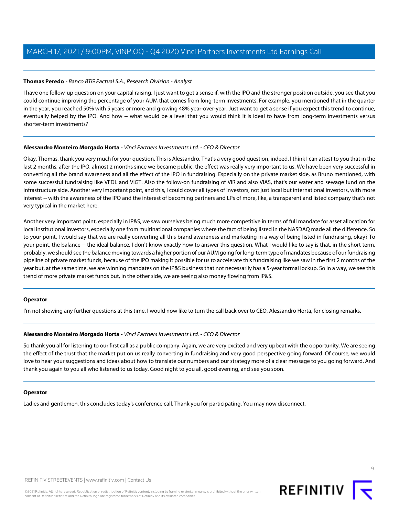#### <span id="page-8-0"></span>**Thomas Peredo** - Banco BTG Pactual S.A., Research Division - Analyst

I have one follow-up question on your capital raising. I just want to get a sense if, with the IPO and the stronger position outside, you see that you could continue improving the percentage of your AUM that comes from long-term investments. For example, you mentioned that in the quarter in the year, you reached 50% with 5 years or more and growing 48% year-over-year. Just want to get a sense if you expect this trend to continue, eventually helped by the IPO. And how -- what would be a level that you would think it is ideal to have from long-term investments versus shorter-term investments?

#### **Alessandro Monteiro Morgado Horta** - Vinci Partners Investments Ltd. - CEO & Director

Okay, Thomas, thank you very much for your question. This is Alessandro. That's a very good question, indeed. I think I can attest to you that in the last 2 months, after the IPO, almost 2 months since we became public, the effect was really very important to us. We have been very successful in converting all the brand awareness and all the effect of the IPO in fundraising. Especially on the private market side, as Bruno mentioned, with some successful fundraising like VFDL and VIGT. Also the follow-on fundraising of VIR and also VIAS, that's our water and sewage fund on the infrastructure side. Another very important point, and this, I could cover all types of investors, not just local but international investors, with more interest -- with the awareness of the IPO and the interest of becoming partners and LPs of more, like, a transparent and listed company that's not very typical in the market here.

Another very important point, especially in IP&S, we saw ourselves being much more competitive in terms of full mandate for asset allocation for local institutional investors, especially one from multinational companies where the fact of being listed in the NASDAQ made all the difference. So to your point, I would say that we are really converting all this brand awareness and marketing in a way of being listed in fundraising, okay? To your point, the balance -- the ideal balance, I don't know exactly how to answer this question. What I would like to say is that, in the short term, probably, we should see the balance moving towards a higher portion of our AUM going for long-term type of mandates because of our fundraising pipeline of private market funds, because of the IPO making it possible for us to accelerate this fundraising like we saw in the first 2 months of the year but, at the same time, we are winning mandates on the IP&S business that not necessarily has a 5-year formal lockup. So in a way, we see this trend of more private market funds but, in the other side, we are seeing also money flowing from IP&S.

#### **Operator**

I'm not showing any further questions at this time. I would now like to turn the call back over to CEO, Alessandro Horta, for closing remarks.

#### **Alessandro Monteiro Morgado Horta** - Vinci Partners Investments Ltd. - CEO & Director

So thank you all for listening to our first call as a public company. Again, we are very excited and very upbeat with the opportunity. We are seeing the effect of the trust that the market put on us really converting in fundraising and very good perspective going forward. Of course, we would love to hear your suggestions and ideas about how to translate our numbers and our strategy more of a clear message to you going forward. And thank you again to you all who listened to us today. Good night to you all, good evening, and see you soon.

#### **Operator**

Ladies and gentlemen, this concludes today's conference call. Thank you for participating. You may now disconnect.



 $\circ$